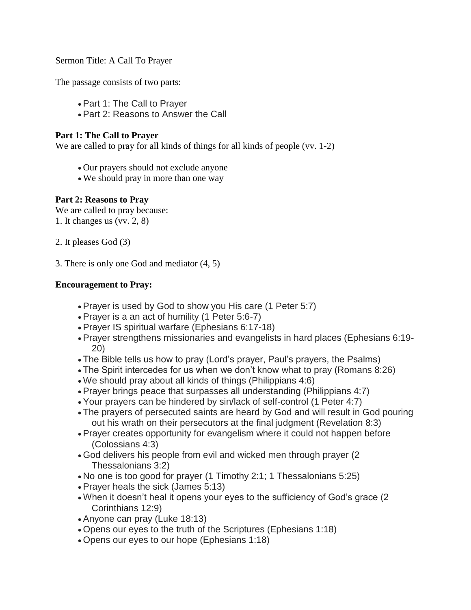Sermon Title: A Call To Prayer

The passage consists of two parts:

- Part 1: The Call to Prayer
- Part 2: Reasons to Answer the Call

## **Part 1: The Call to Prayer**

We are called to pray for all kinds of things for all kinds of people (vv. 1-2)

- Our prayers should not exclude anyone
- We should pray in more than one way

## **Part 2: Reasons to Pray**

We are called to pray because: 1. It changes us (vv. 2, 8)

2. It pleases God (3)

3. There is only one God and mediator (4, 5)

## **Encouragement to Pray:**

- Prayer is used by God to show you His care (1 Peter 5:7)
- Prayer is a an act of humility (1 Peter 5:6-7)
- Prayer IS spiritual warfare (Ephesians 6:17-18)
- Prayer strengthens missionaries and evangelists in hard places (Ephesians 6:19- 20)
- The Bible tells us how to pray (Lord's prayer, Paul's prayers, the Psalms)
- The Spirit intercedes for us when we don't know what to pray (Romans 8:26)
- We should pray about all kinds of things (Philippians 4:6)
- Prayer brings peace that surpasses all understanding (Philippians 4:7)
- Your prayers can be hindered by sin/lack of self-control (1 Peter 4:7)
- The prayers of persecuted saints are heard by God and will result in God pouring out his wrath on their persecutors at the final judgment (Revelation 8:3)
- Prayer creates opportunity for evangelism where it could not happen before (Colossians 4:3)
- God delivers his people from evil and wicked men through prayer (2 Thessalonians 3:2)
- No one is too good for prayer (1 Timothy 2:1; 1 Thessalonians 5:25)
- Prayer heals the sick (James 5:13)
- When it doesn't heal it opens your eyes to the sufficiency of God's grace (2 Corinthians 12:9)
- Anyone can pray (Luke 18:13)
- Opens our eyes to the truth of the Scriptures (Ephesians 1:18)
- Opens our eyes to our hope (Ephesians 1:18)